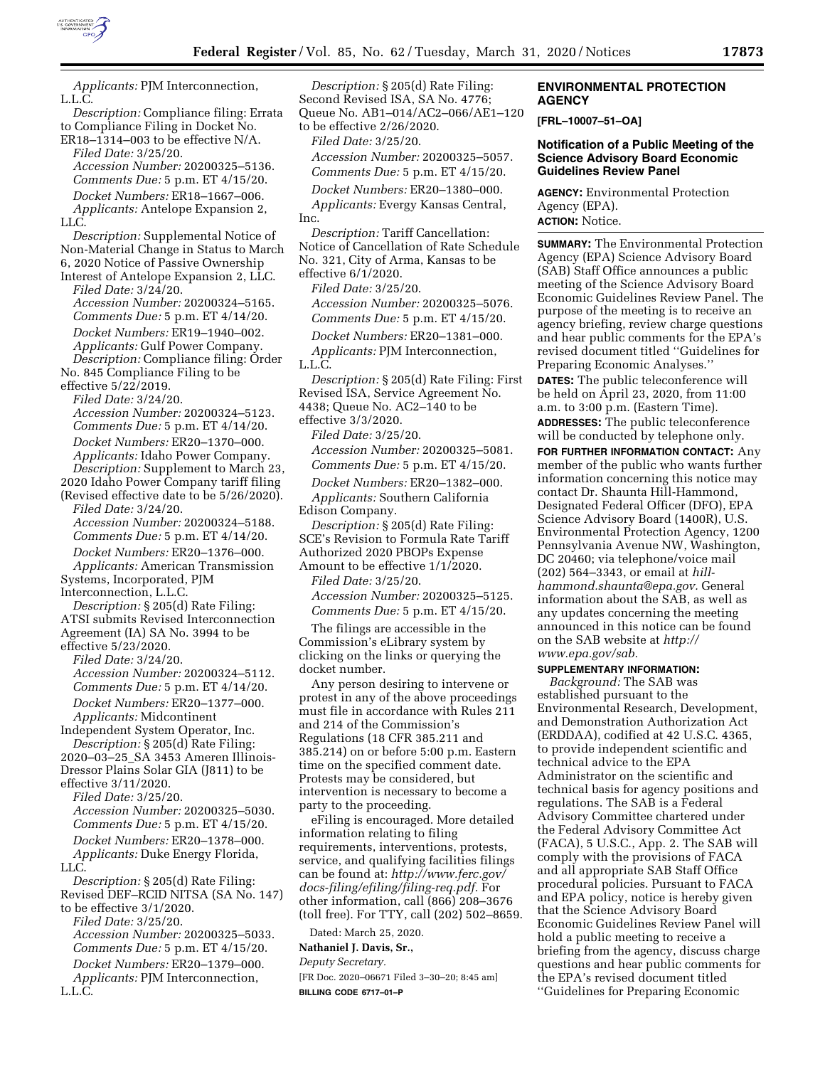

*Applicants:* PJM Interconnection, L.L.C. *Description:* Compliance filing: Errata to Compliance Filing in Docket No. ER18–1314–003 to be effective N/A. *Filed Date:* 3/25/20. *Accession Number:* 20200325–5136. *Comments Due:* 5 p.m. ET 4/15/20. *Docket Numbers:* ER18–1667–006. *Applicants:* Antelope Expansion 2, LLC. *Description:* Supplemental Notice of Non-Material Change in Status to March 6, 2020 Notice of Passive Ownership Interest of Antelope Expansion 2, LLC. *Filed Date:* 3/24/20. *Accession Number:* 20200324–5165. *Comments Due:* 5 p.m. ET 4/14/20. *Docket Numbers:* ER19–1940–002. *Applicants:* Gulf Power Company. *Description:* Compliance filing: Order No. 845 Compliance Filing to be effective 5/22/2019. *Filed Date:* 3/24/20. *Accession Number:* 20200324–5123. *Comments Due:* 5 p.m. ET 4/14/20. *Docket Numbers:* ER20–1370–000. *Applicants:* Idaho Power Company. *Description:* Supplement to March 23, 2020 Idaho Power Company tariff filing (Revised effective date to be 5/26/2020). *Filed Date:* 3/24/20. *Accession Number:* 20200324–5188. *Comments Due:* 5 p.m. ET 4/14/20. *Docket Numbers:* ER20–1376–000. *Applicants:* American Transmission Systems, Incorporated, PJM Interconnection, L.L.C. *Description:* § 205(d) Rate Filing: ATSI submits Revised Interconnection Agreement (IA) SA No. 3994 to be effective 5/23/2020. *Filed Date:* 3/24/20. *Accession Number:* 20200324–5112. *Comments Due:* 5 p.m. ET 4/14/20. *Docket Numbers:* ER20–1377–000. *Applicants:* Midcontinent Independent System Operator, Inc. *Description:* § 205(d) Rate Filing: 2020–03–25\_SA 3453 Ameren Illinois-Dressor Plains Solar GIA (J811) to be effective 3/11/2020. *Filed Date:* 3/25/20. *Accession Number:* 20200325–5030. *Comments Due:* 5 p.m. ET 4/15/20. *Docket Numbers:* ER20–1378–000. *Applicants:* Duke Energy Florida, LLC. *Description:* § 205(d) Rate Filing: Revised DEF–RCID NITSA (SA No. 147) to be effective 3/1/2020. *Filed Date:* 3/25/20. *Accession Number:* 20200325–5033. *Comments Due:* 5 p.m. ET 4/15/20. *Docket Numbers:* ER20–1379–000.

*Applicants:* PJM Interconnection, L.L.C.

*Description:* § 205(d) Rate Filing: Second Revised ISA, SA No. 4776; Queue No. AB1–014/AC2–066/AE1–120

to be effective 2/26/2020. *Filed Date:* 3/25/20.

*Accession Number:* 20200325–5057. *Comments Due:* 5 p.m. ET 4/15/20.

*Docket Numbers:* ER20–1380–000.

*Applicants:* Evergy Kansas Central, Inc.

*Description:* Tariff Cancellation: Notice of Cancellation of Rate Schedule No. 321, City of Arma, Kansas to be effective 6/1/2020.

*Filed Date:* 3/25/20. *Accession Number:* 20200325–5076. *Comments Due:* 5 p.m. ET 4/15/20.

*Docket Numbers:* ER20–1381–000. *Applicants:* PJM Interconnection, L.L.C.

*Description:* § 205(d) Rate Filing: First Revised ISA, Service Agreement No.

4438; Queue No. AC2–140 to be effective 3/3/2020.

*Filed Date:* 3/25/20.

*Accession Number:* 20200325–5081.

*Comments Due:* 5 p.m. ET 4/15/20.

*Docket Numbers:* ER20–1382–000. *Applicants:* Southern California Edison Company.

*Description:* § 205(d) Rate Filing: SCE's Revision to Formula Rate Tariff Authorized 2020 PBOPs Expense Amount to be effective 1/1/2020.

*Filed Date:* 3/25/20.

*Accession Number:* 20200325–5125. *Comments Due:* 5 p.m. ET 4/15/20.

The filings are accessible in the Commission's eLibrary system by clicking on the links or querying the docket number.

Any person desiring to intervene or protest in any of the above proceedings must file in accordance with Rules 211 and 214 of the Commission's Regulations (18 CFR 385.211 and 385.214) on or before 5:00 p.m. Eastern time on the specified comment date. Protests may be considered, but intervention is necessary to become a party to the proceeding.

eFiling is encouraged. More detailed information relating to filing requirements, interventions, protests, service, and qualifying facilities filings can be found at: *[http://www.ferc.gov/](http://www.ferc.gov/docs-filing/efiling/filing-req.pdf)  [docs-filing/efiling/filing-req.pdf.](http://www.ferc.gov/docs-filing/efiling/filing-req.pdf)* For other information, call (866) 208–3676 (toll free). For TTY, call (202) 502–8659.

Dated: March 25, 2020.

**Nathaniel J. Davis, Sr.,** 

*Deputy Secretary.* 

[FR Doc. 2020–06671 Filed 3–30–20; 8:45 am] **BILLING CODE 6717–01–P** 

#### **ENVIRONMENTAL PROTECTION AGENCY**

**[FRL–10007–51–OA]** 

# **Notification of a Public Meeting of the Science Advisory Board Economic Guidelines Review Panel**

**AGENCY:** Environmental Protection Agency (EPA). **ACTION:** Notice.

**SUMMARY:** The Environmental Protection Agency (EPA) Science Advisory Board (SAB) Staff Office announces a public meeting of the Science Advisory Board Economic Guidelines Review Panel. The purpose of the meeting is to receive an agency briefing, review charge questions and hear public comments for the EPA's revised document titled ''Guidelines for Preparing Economic Analyses.'' **DATES:** The public teleconference will be held on April 23, 2020, from 11:00 a.m. to 3:00 p.m. (Eastern Time). **ADDRESSES:** The public teleconference will be conducted by telephone only. **FOR FURTHER INFORMATION CONTACT:** Any member of the public who wants further information concerning this notice may contact Dr. Shaunta Hill-Hammond,

Designated Federal Officer (DFO), EPA Science Advisory Board (1400R), U.S. Environmental Protection Agency, 1200 Pennsylvania Avenue NW, Washington, DC 20460; via telephone/voice mail (202) 564–3343, or email at *[hill](mailto:hill-hammond.shaunta@epa.gov)[hammond.shaunta@epa.gov.](mailto:hill-hammond.shaunta@epa.gov)* General information about the SAB, as well as any updates concerning the meeting announced in this notice can be found on the SAB website at *[http://](http://www.epa.gov/sab) [www.epa.gov/sab.](http://www.epa.gov/sab)* 

#### **SUPPLEMENTARY INFORMATION:**

*Background:* The SAB was established pursuant to the Environmental Research, Development, and Demonstration Authorization Act (ERDDAA), codified at 42 U.S.C. 4365, to provide independent scientific and technical advice to the EPA Administrator on the scientific and technical basis for agency positions and regulations. The SAB is a Federal Advisory Committee chartered under the Federal Advisory Committee Act (FACA), 5 U.S.C., App. 2. The SAB will comply with the provisions of FACA and all appropriate SAB Staff Office procedural policies. Pursuant to FACA and EPA policy, notice is hereby given that the Science Advisory Board Economic Guidelines Review Panel will hold a public meeting to receive a briefing from the agency, discuss charge questions and hear public comments for the EPA's revised document titled ''Guidelines for Preparing Economic